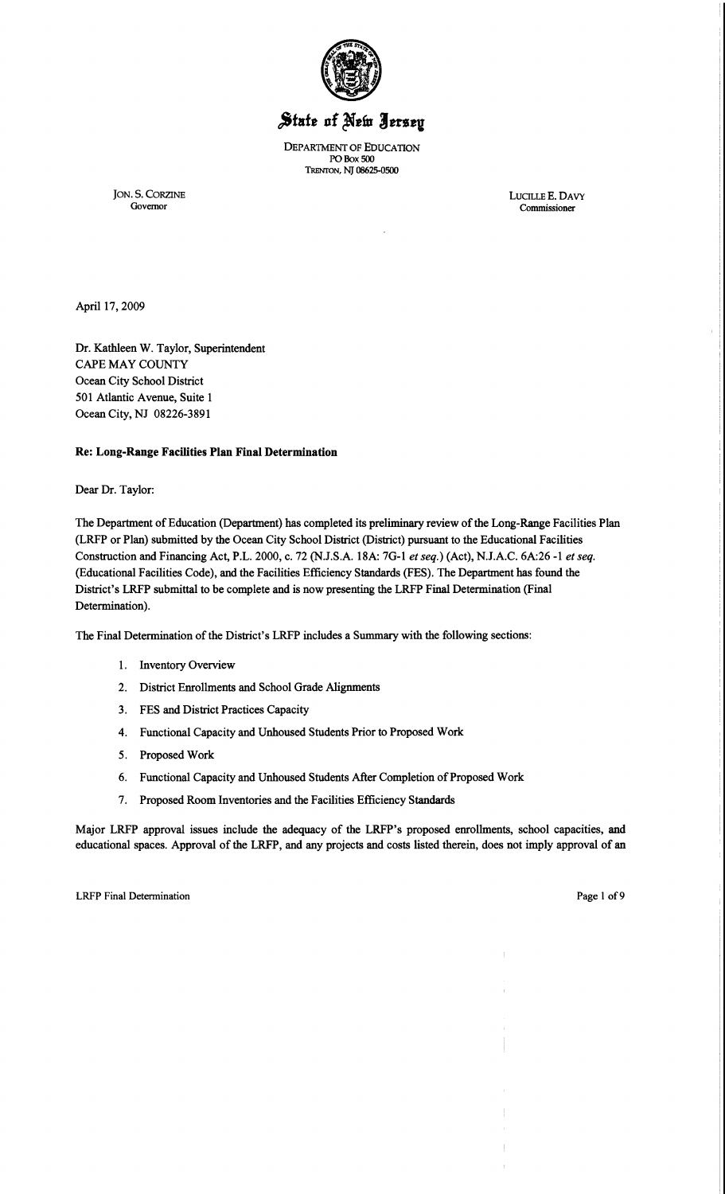

# State of New Jersey

DEPAR1MENT OF EDUCATION POBox 500 1'RENTON, NJ 08625-0500

JON. S. CORZINE LUCILLE E. DAVY Governor Commissioner

Governor Commissioner

April 17,2009

Dr. Kathleen W. Taylor, Superintendent CAPE MAY COUNTY Ocean City School District 501 Atlantic Avenue, Suite 1 Ocean City, NJ 08226-3891

# Re: Long-Range Facilities **Plan** Final Determination

Dear Dr. Taylor:

The Department of Education (Department) has completed its preliminary review of the Long-Range Facilities Plan (LRFP or Plan) submitted by the Ocean City School District (District) pursuant to the Educational Facilities Construction and Financing Act, P.L. 2000, c. 72 (NJ.S.A. 18A: 7G-l *et seq.)* (Act), N.lA.C. 6A:26 -1 *et seq.*  (Educational Facilities Code), and the Facilities Efficiency Standards (FES). The Department has found the District's LRFP submittal to be complete and is now presenting the LRFP Final Determination (Final Determination).

The Final Determination of the District's LRFP includes a Summary with the following sections:

- 1. Inventory Overview
- 2. District Enrollments and School Grade Alignments
- 3. FES and District Practices Capacity
- 4. Functional Capacity and Unhoused Students Prior to Proposed Work
- 5. Proposed Work
- 6. Functional Capacity and Unhoused Students After Completion of Proposed Work
- 7. Proposed Room Inventories and the Facilities Efficiency Standards

Major LRFP approval issues include the adequacy of the LRFP's proposed enrollments, school capacities, and educational spaces. Approval of the LRFP, and any projects and costs listed therein, does not imply approval of an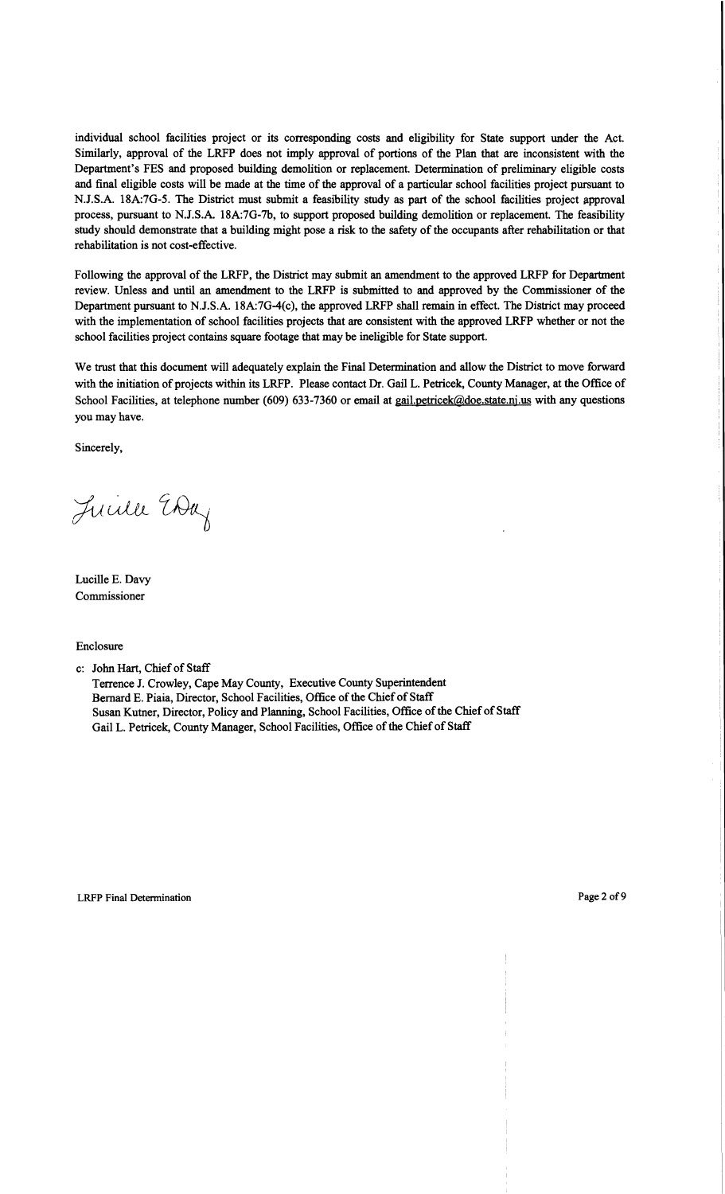individual school facilities project or its corresponding costs and eligibility for State support under the Act. Similarly, approval of the LRFP does not imply approval of portions of the Plan that are inconsistent with the Department's FES and proposed building demolition or replacement. Determination of preliminary eligible costs and final eligible costs will be made at the time of the approval of a particular school facilities project pursuant to N.J.S.A. 18A:7G-5. The District must submit a feasibility study as part of the school facilities project approval process, pursuant to N.J.S.A. 18A:7G-Th, to support proposed building demolition or replacement. The feasibility study should demonstrate that a building might pose a risk to the safety of the occupants after rehabilitation or that rehabilitation is not cost-effective.

Following the approval of the LRFP, the District may submit an amendment to the approved LRFP for Department review. Unless and until an amendment to the LRFP is submitted to and approved by the Commissioner of the Department pursuant to NJ.S.A. 18A:7G-4(c), the approved LRFP shall remain in effect. The District may proceed with the implementation of school facilities projects that are consistent with the approved LRFP whether or not the school facilities project contains square footage that may be ineligible for State support.

We trust that this document will adequately explain the Final Determination and allow the District to move forward with the initiation of projects within its LRFP. Please contact Dr. Gail L. Petricek, County Manager, at the Office of School Facilities, at telephone number (609) 633-7360 or email at gail.petricek@doe.state.nj.us with any questions you may have.

Sincerely,

Luille EDay

Lucille E. Davy Commissioner

Enclosure

c: John Hart, Chief of Staff

Terrence J. Crowley, Cape May County, Executive County Superintendent Bernard E. Piaia, Director, School Facilities, Office of the Chief of Staff Susan Kutner, Director, Policy and Planning, School Facilities, Office of the Chief of Staff Gail L. Petricek, County Manager, School Facilities, Office of the Chief of Staff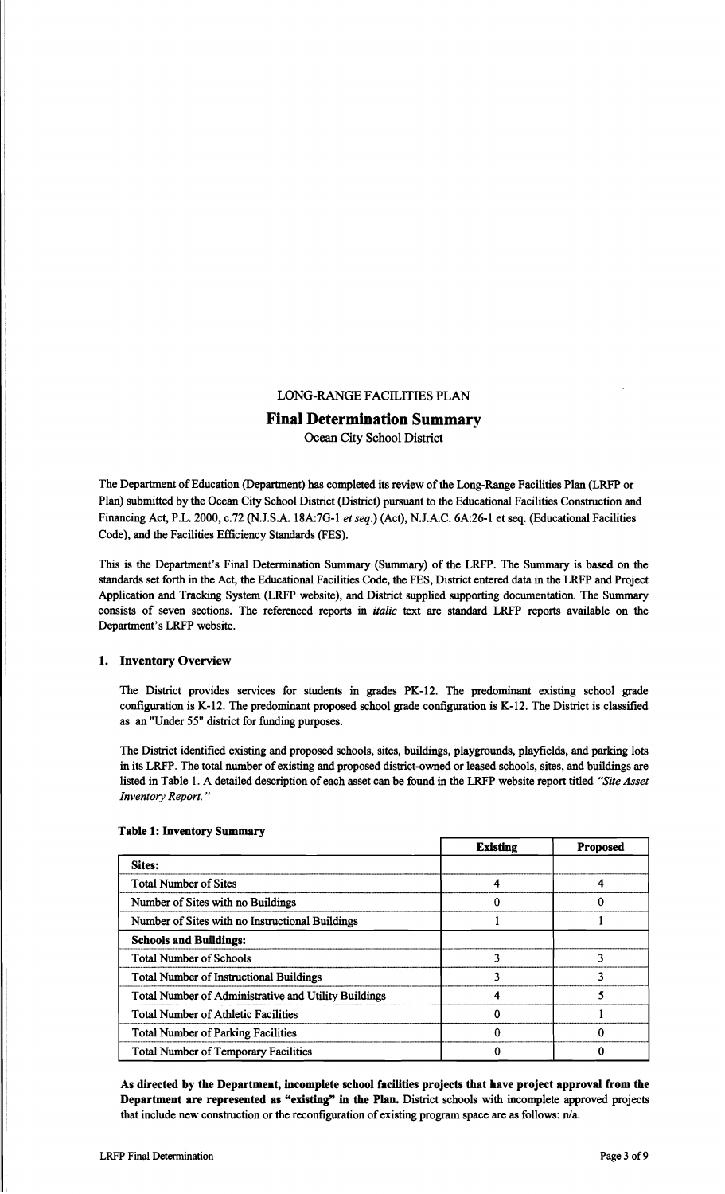# LONG-RANGE FACILITIES PLAN

# Final Determination Summary

Ocean City School District

The Department of Education (Department) has completed its review of the Long-Range Facilities Plan (LRFP or Plan) submitted by the Ocean City School District (District) pursuant to the Educational Facilities Construction and Financing Act, P.L. 2000, c.72 (N.J.S.A. l8A:7G-l *et seq.)* (Act), N.J.A.C. 6A:26-1 et seq. (Educational Facilities Code), and the Facilities Efficiency Standards (FES).

This is the Department's Final Determination Summary (Summary) of the LRFP. The Summary is based on the standards set forth in the Act, the Educational Facilities Code, the FES, District entered data in the LRFP and Project Application and Tracking System (LRFP website), and District supplied supporting documentation. The Summary consists of seven sections. The referenced reports in *italic* text are standard LRFP reports available on the Department's LRFP website.

### 1. Inventory Overview

The District provides services for students in grades PK-12. The predominant existing school grade configuration is K-12. The predominant proposed school grade configuration is K-12. The District is classified as an "Under 55" district for funding purposes.

The District identified existing and proposed schools, sites, buildings, playgrounds, playfields, and parking lots in its LRFP. The total number of existing and proposed district-owned or leased schools, sites, and buildings are listed in Table 1. A detailed description of each asset can be found in the LRFP website report titled *"Site Asset Inventory Report. "* 

| Tapic I: MACHIOLA DAMMALA                       |                 |                 |
|-------------------------------------------------|-----------------|-----------------|
|                                                 | <b>Existing</b> | <b>Proposed</b> |
| <b>Sites:</b>                                   |                 |                 |
| <b>Total Number of Sites</b>                    |                 |                 |
| Number of Sites with no Buildings               |                 |                 |
| Number of Sites with no Instructional Buildings |                 |                 |
| .                                               |                 |                 |

#### Table 1: Inventory Summary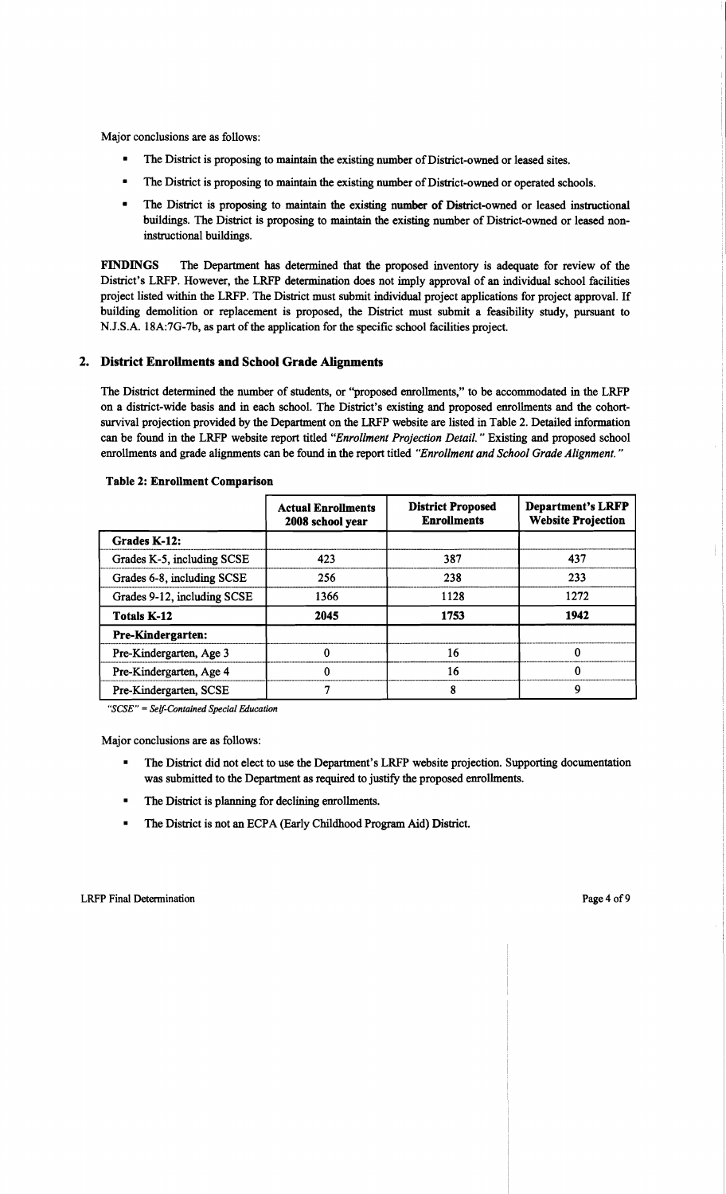Major conclusions are as follows:

- The District is proposing to maintain the existing number of District-owned or leased sites.
- The District is proposing to maintain the existing number of District-owned or operated schools.
- The District is proposing to maintain the existing number of District-owned or leased instructional buildings. The District is proposing to maintain the existing number of District-owned or leased noninstructional buildings.

FINDINGS The Department has determined that the proposed inventory is adequate for review of the District's LRFP. However, the LRFP determination does not imply approval of an individual school facilities project listed within the LRFP. The District must submit individual project applications for project approval. If building demolition or replacement is proposed, the District must submit a feasibility study, pursuant to N.J.S.A. 18A:7G-7b, as part of the application for the specific school facilities project.

## 2. District Enrollments and School Grade Alignments

The District determined the number of students, or "proposed enrollments," to be accommodated in the LRFP on a district-wide basis and in each school. The District's existing and proposed enrollments and the cohortsurvival projection provided by the Department on the LRFP website are listed in Table 2. Detailed information can be found in the LRFP website report titled *"Enrol/ment Projection Detail.* " Existing and proposed school enrollments and grade alignments can be found in the report titled *"Enrol/ment and School Grade Alignment. "* 

|                             | <b>Actual Enrollments</b><br>2008 school year | <b>District Proposed</b><br><b>Enrollments</b> | <b>Department's LRFP</b><br><b>Website Projection</b> |
|-----------------------------|-----------------------------------------------|------------------------------------------------|-------------------------------------------------------|
| Grades K-12:                |                                               |                                                |                                                       |
| Grades K-5, including SCSE  | 423                                           | 387                                            | 437                                                   |
| Grades 6-8, including SCSE  | 256                                           | 238                                            | 233                                                   |
| Grades 9-12, including SCSE | 1366                                          | 1128                                           | 1272                                                  |
| <b>Totals K-12</b>          | 2045                                          | 1753                                           | 1942                                                  |
| <b>Pre-Kindergarten:</b>    |                                               |                                                |                                                       |
| Pre-Kindergarten, Age 3     |                                               | 16                                             |                                                       |
| Pre-Kindergarten, Age 4     |                                               | 16                                             | O                                                     |
| Pre-Kindergarten, SCSE      |                                               | 8                                              | q                                                     |

#### Table 2: Enrollment Comparison

*"seSE"* = *Self-Contained Special Education* 

Major conclusions are as follows:

- The District did not elect to use the Department's LRFP website projection. Supporting documentation was submitted to the Department as required to justify the proposed enrollments.
- The District is planning for declining enrollments.
- The District is not an ECPA (Early Childhood Program Aid) District.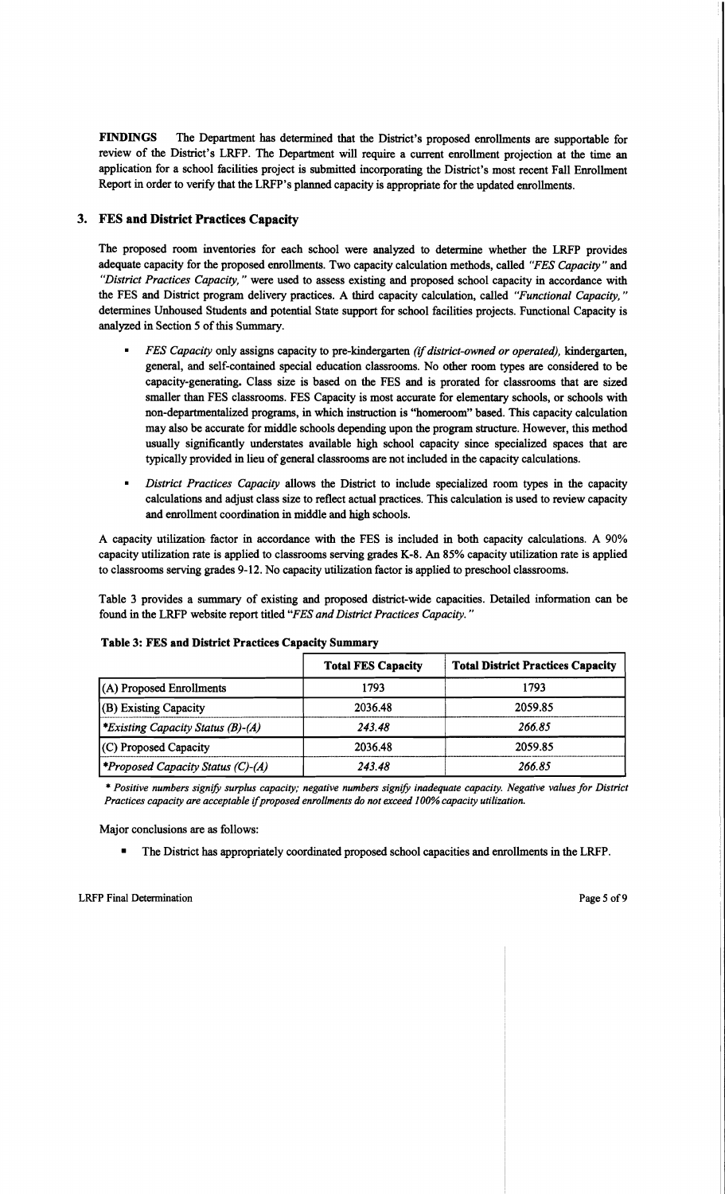FINDINGS The Department has determined that the District's proposed enrollments are supportable for review of the District's LRFP. The Department will require a current enrollment projection at the time an application for a school facilities project is submitted incorporating the District's most recent Fall Enrollment Report in order to verify that the LRFP's planned capacity is appropriate for the updated enrollments.

# 3. FES and District Practices Capacity

The proposed room inventories for each school were analyzed to determine whether the LRFP provides adequate capacity for the proposed enrollments. Two capacity calculation methods, called "FES Capacity" and *"District Practices Capacity,* " were used to assess existing and proposed school capacity in accordance with the FES and District program delivery practices. A third capacity calculation, called *"Functional Capacity, "*  determines Unhoused Students and potential State support for school facilities projects. Functional Capacity is analyzed in Section 5 of this Summary.

- *FES Capacity only assigns capacity to pre-kindergarten <i>(if district-owned or operated), kindergarten,* general, and self-contained special education classrooms. No other room types are considered to be capacity-generating. Class size is based on the FES and is prorated for classrooms that are sized smaller than FES classrooms. FES Capacity is most accurate for elementary schools, or schools with non-departmentalized programs, in which instruction is "homeroom" based. This capacity calculation may also be accurate for middle schools depending upon the program structure. However, this method usually significantly understates available high school capacity since specialized spaces that are typically provided in lieu of general classrooms are not included in the capacity calculations.
- *District Practices Capacity allows the District to include specialized room types in the capacity* calculations and adjust class size to reflect actual practices. This calculation is used to review capacity and enrollment coordination in middle and high schools.

A capacity utilization- factor in accordance with the FES is included in both capacity calculations. A 90% capacity utilization rate is applied to classrooms serving grades K-8. An 85% capacity utilization rate is applied to classrooms serving grades 9-12. No capacity utilization factor is applied to preschool classrooms.

Table 3 provides a summary of existing and proposed district-wide capacities. Detailed information can be found in the LRFP website report titled *"FES and District Practices Capacity. "* 

| <b>Table 3: FES and District Practices Capacity Summary</b> |                           |                                          |  |  |
|-------------------------------------------------------------|---------------------------|------------------------------------------|--|--|
|                                                             | <b>Total FES Capacity</b> | <b>Total District Practices Capacity</b> |  |  |
| (A) Proposed Enrollments                                    | 1793                      | 1793                                     |  |  |
| (B) Existing Capacity                                       | 2036.48                   | 2059.85                                  |  |  |
| <i>Existing Capacity Status (B)-(A)</i>                     | 243.48                    | 266.85                                   |  |  |
| (C) Proposed Capacity                                       | 2036.48                   | 2059.85                                  |  |  |
| <i>Froposed Capacity Status (C)-(A)</i>                     | 243.48                    | 266.85                                   |  |  |

## Table 3: FES and District Practices Capacity Summary

\* *Positive numbers signify surplus capacity; negative numbers signify inadequate capacity. Negative values for District Practices capacity are acceptable if proposed enrollments do not exceed 100% capacity utilization.* 

Major conclusions are as follows:

The District has appropriately coordinated proposed school capacities and enrollments in the LRFP.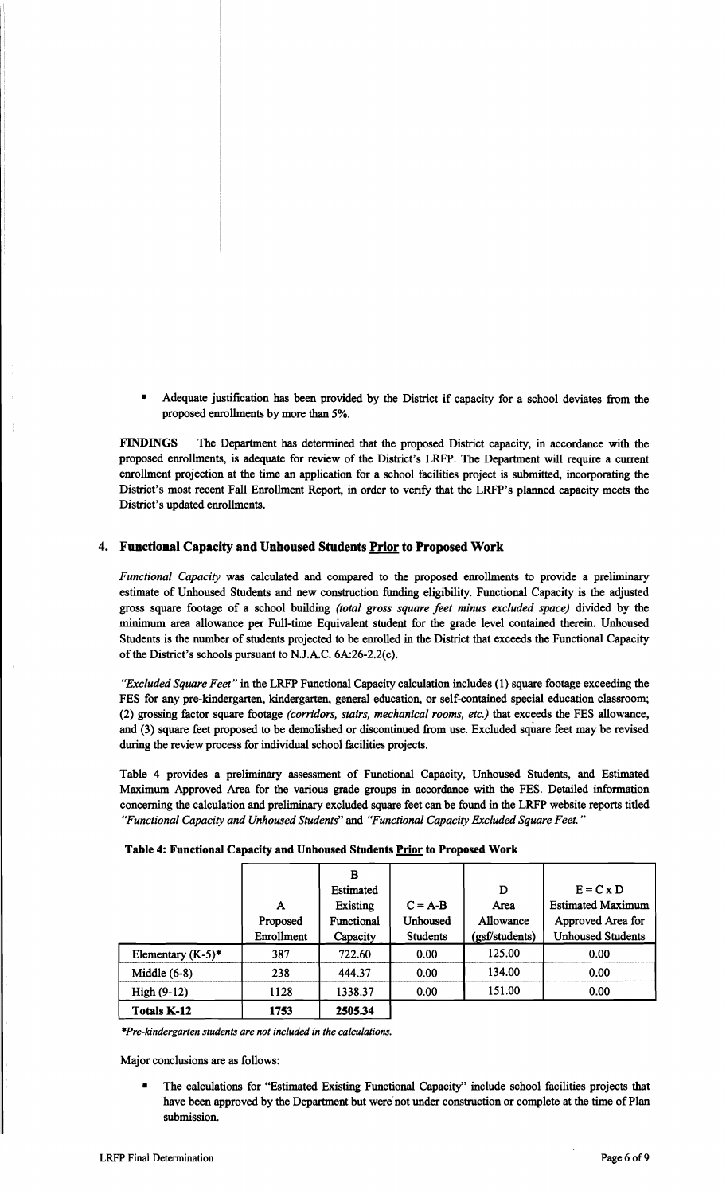• Adequate justification has been provided by the District if capacity for a school deviates from the proposed enrollments by more than 5%.

FINDINGS The Department has determined that the proposed District capacity, in accordance with the proposed enrollments, is adequate for review of the District's LRFP. The Department will require a current enrollment projection at the time an application for a school facilities project is submitted, incorporating the District's most recent Fall Enrollment Report, in order to verify that the LRFP's planned capacity meets the District's updated enrollments.

## 4. Functional Capacity and Unhoused Students Prior to Proposed Work

*Functional Capacity* was calculated and compared to the proposed enrollments to provide a preliminary estimate of Unhoused Students and new construction funding eligibility. Functional Capacity is the adjusted gross square footage of a school building *(total gross square feet minus excluded space)* divided by the minimum area allowance per Full-time Equivalent student for the grade level contained therein. Unhoused Students is the number of students projected to be enrolled in the District that exceeds the Functional Capacity of the District's schools pursuant to N.J.A.C.  $6A:26-2.2(c)$ .

*"Excluded Square Feet"* in the LRFP Functional Capacity calculation includes (I) square footage exceeding the FES for any pre-kindergarten, kindergarten, general education, or self-contained special education classroom; (2) grossing factor square footage *(corridors, stairs, mechanical rooms, etc.)* that exceeds the FES allowance, and (3) square feet proposed to be demolished or discontinued from use. Excluded square feet may be revised during the review process for individual school facilities projects.

Table 4 provides a preliminary assessment of Functional Capacity, Unhoused Students, and Estimated Maximum Approved Area for the various grade groups in accordance with the FES. Detailed information concerning the calculation and preliminary excluded square feet can be found in the LRFP website reports titled *"Functional Capacity and Unhoused Students"* and *"Functional Capacity Excluded Square Feet."* 

|            | В          |                 |                |                          |  |
|------------|------------|-----------------|----------------|--------------------------|--|
|            |            |                 |                |                          |  |
|            | Estimated  |                 | D              | $E = C x D$              |  |
| A          | Existing   | $C = A-B$       | Area           | <b>Estimated Maximum</b> |  |
| Proposed   | Functional | Unhoused        | Allowance      | Approved Area for        |  |
| Enrollment | Canacity   | <b>Students</b> | (oef/students) | <b>Unhoused Students</b> |  |

## Table 4: Functional Capacity and Unhoused Students Prior to Proposed Work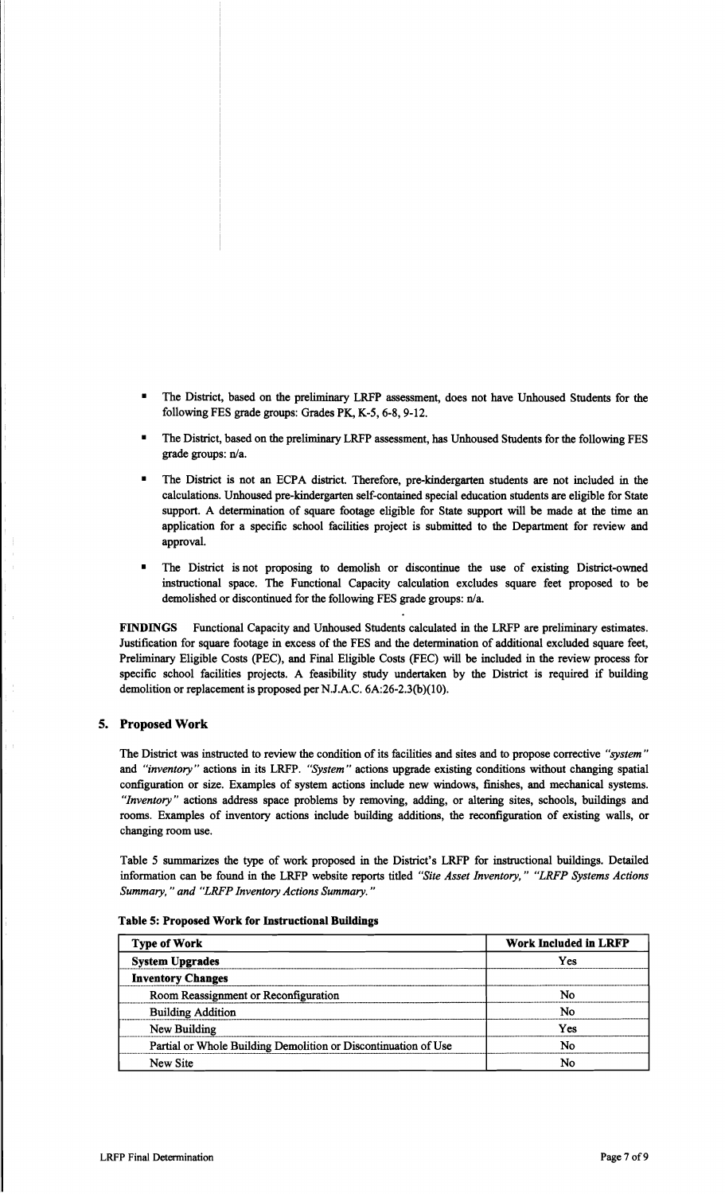- The District, based on the preliminary LRFP assessment, does not have Unhoused Students for the following FES grade groups: Grades PK, K-5, 6-8, 9-12.
- The District, based on the preliminary LRFP assessment, has Unhoused Students for the following FES grade groups: n/a.
- The District is not an ECPA district. Therefore, pre-kindergarten students are not included in the calculations. Unhoused pre-kindergarten self-contained special education students are eligible for State support. A determination of square footage eligible for State support will be made at the time an application for a specific school facilities project is submitted to the Department for review and approval.
- The District is not proposing to demolish or discontinue the use of existing District-owned instructional space. The Functional Capacity calculation excludes square feet proposed to be demolished or discontinued for the following FES grade groups: n/a.

FINDINGS Functional Capacity and Unhoused Students calculated in the LRFP are preliminary estimates. Justification for square footage in excess of the FES and the determination of additional excluded square feet, Preliminary Eligible Costs (PEC), and Final Eligible Costs (FEC) will be included in the review process for specific school facilities projects. A feasibility study undertaken by the District is required if building demolition or replacement is proposed per N.J.A.C. 6A:26-2.3(b)(10).

#### 5. Proposed Work

The District was instructed to review the condition of its facilities and sites and to propose corrective *"system"*  and *"inventory"* actions in its LRFP. *"System"* actions upgrade existing conditions without changing spatial configuration or size. Examples of system actions include new windows, finishes, and mechanical systems. *"Inventory"* actions address space problems by removing, adding, or altering sites, schools, buildings and rooms. Examples of inventory actions include building additions, the reconfiguration of existing walls, or changing room use.

Table 5 summarizes the type of work proposed in the District's LRFP for instructional buildings. Detailed information can be found in the LRFP website reports titled *"Site Asset Inventory," "LRFP Systems Actions Summary,* " *and "LRFP Inventory Actions Summary. "* 

Type of Work I Work I Work I Work I Work I Work I Work I Work I Work Included in LRFPP in LRFPP in LRFPP in LRFPP in LRFPP in LRFPP in LRFPP in LRFPP in LRFPP in LRFPP in LRFPP in LRFPP in LRFPP in LRFPP in LRFPP in LRFPP

## Table 5: Proposed Work for Instructional Buildings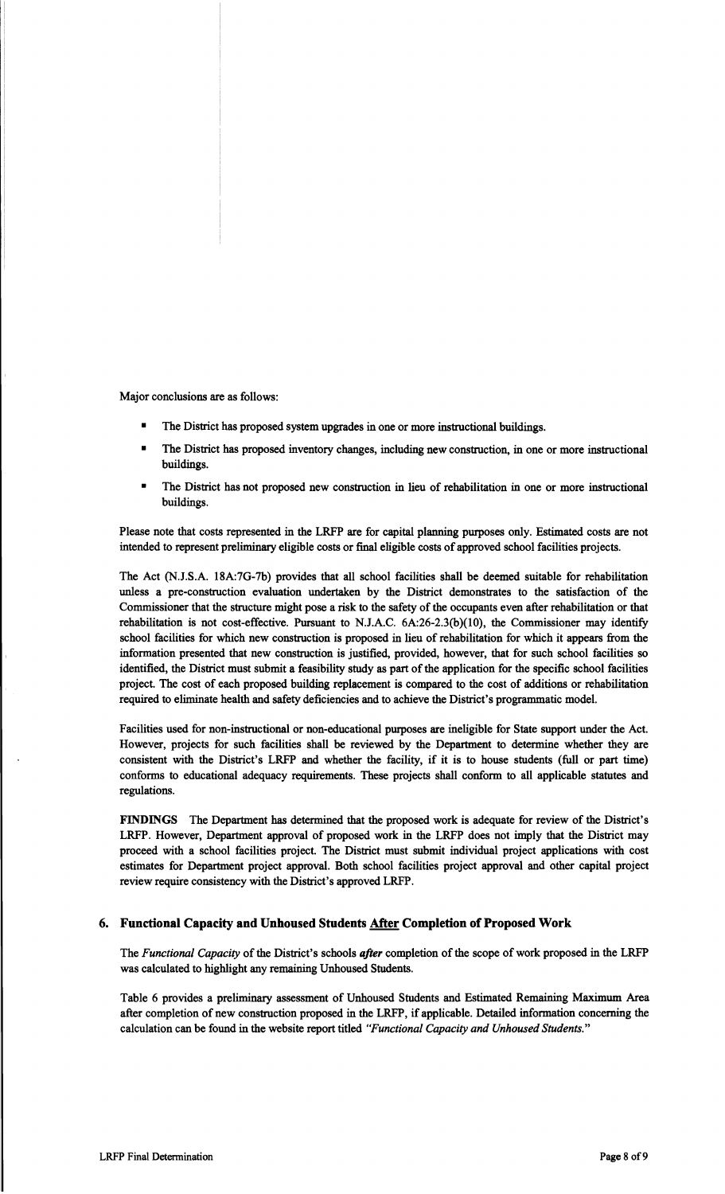Major conclusions are as follows:

- The District has proposed system upgrades in one or more instructional buildings.
- **•** The District has proposed inventory changes, including new construction, in one or more instructional buildings.
- The District has not proposed new construction in lieu of rehabilitation in one or more instructional buildings.

Please note that costs represented in the LRFP are for capital planning purposes only. Estimated costs are not intended to represent preliminary eligible costs or final eligible costs of approved school facilities projects.

The Act (NJ.S.A. 18A:7G-7b) provides that all school facilities shall be deemed suitable for rehabilitation unless a pre-construction evaluation undertaken by the District demonstrates to the satisfaction of the Commissioner that the structure might pose a risk to the safety of the occupants even after rehabilitation or that rehabilitation is not cost-effective. Pursuant to N.J.A.C.  $6A:26-2.3(b)(10)$ , the Commissioner may identify school facilities for which new construction is proposed in lieu of rehabilitation for which it appears from the information presented that new construction is justified, provided, however, that for such school facilities so identified, the District must submit a feasibility study as part of the application for the specific school facilities project. The cost of each proposed building replacement is compared to the cost of additions or rehabilitation required to eliminate health and safety deficiencies and to achieve the District's programmatic model.

Facilities used for non-instructional or non-educational purposes are ineligible for State support under the Act. However, projects for such facilities shall be reviewed by the Department to determine whether they are consistent with the District's LRFP and whether the facility, if it is to house students (full or part time) conforms to educational adequacy requirements. These projects shall conform to all applicable statutes and regulations.

FINDINGS The Department has determined that the proposed work is adequate for review of the District's LRFP. However, Department approval of proposed work in the LRFP does not imply that the District may proceed with a school facilities project. The District must submit individual project applications with cost estimates for Department project approval. Both school facilities project approval and other capital project review require consistency with the District's approved LRFP.

## 6. Functional Capacity and Unhoused Students **After Completion of Proposed Work**